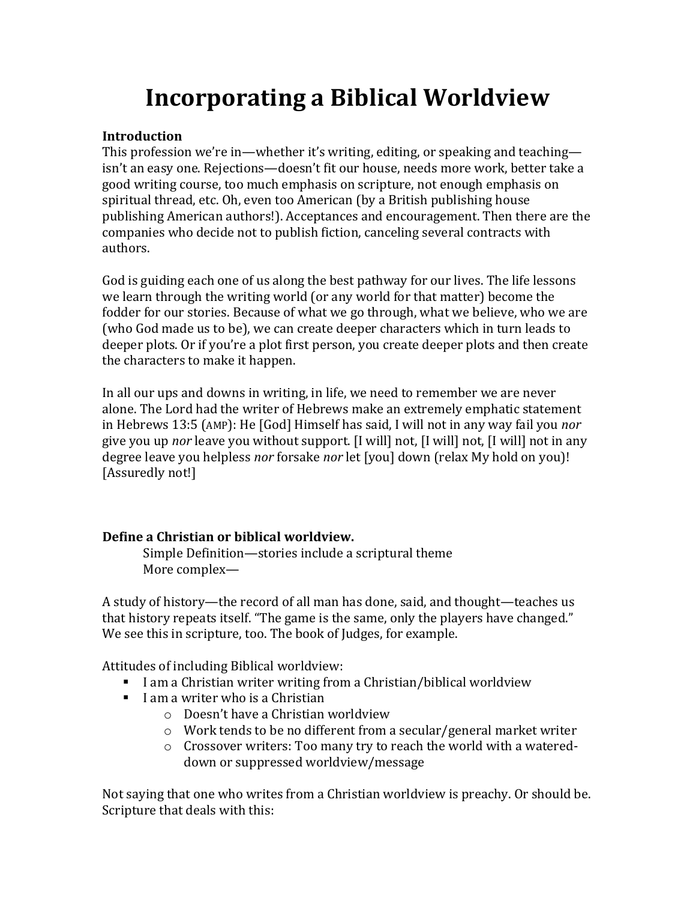# **Incorporating a Biblical Worldview**

#### **Introduction**

This profession we're in—whether it's writing, editing, or speaking and teaching isn't an easy one. Rejections—doesn't fit our house, needs more work, better take a good writing course, too much emphasis on scripture, not enough emphasis on spiritual thread, etc. Oh, even too American (by a British publishing house publishing American authors!). Acceptances and encouragement. Then there are the companies who decide not to publish fiction, canceling several contracts with authors.

God is guiding each one of us along the best pathway for our lives. The life lessons we learn through the writing world (or any world for that matter) become the fodder for our stories. Because of what we go through, what we believe, who we are (who God made us to be), we can create deeper characters which in turn leads to deeper plots. Or if you're a plot first person, you create deeper plots and then create the characters to make it happen.

In all our ups and downs in writing, in life, we need to remember we are never alone. The Lord had the writer of Hebrews make an extremely emphatic statement in Hebrews 13:5 (AMP): He [God] Himself has said, I will not in any way fail you *nor* give you up *nor* leave you without support. [I will] not, [I will] not, [I will] not in any degree leave you helpless *nor* forsake *nor* let [you] down (relax My hold on you)! [Assuredly not!]

### **Define a Christian or biblical worldview.**

Simple Definition—stories include a scriptural theme More complex—

A study of history—the record of all man has done, said, and thought—teaches us that history repeats itself. "The game is the same, only the players have changed." We see this in scripture, too. The book of Judges, for example.

Attitudes of including Biblical worldview:

- **I** am a Christian writer writing from a Christian/biblical worldview
- $\blacksquare$  I am a writer who is a Christian
	- o Doesn't have a Christian worldview
	- o Work tends to be no different from a secular/general market writer
	- o Crossover writers: Too many try to reach the world with a watereddown or suppressed worldview/message

Not saying that one who writes from a Christian worldview is preachy. Or should be. Scripture that deals with this: